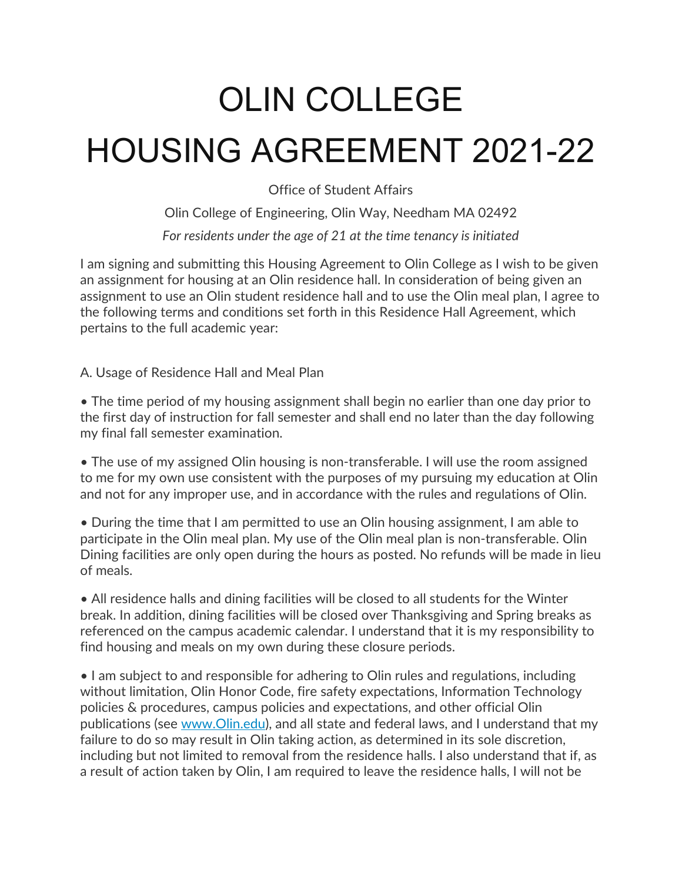# OLIN COLLEGE HOUSING AGREEMENT 2021-22

Office of Student Affairs

Olin College of Engineering, Olin Way, Needham MA 02492 *For residents under the age of 21 at the time tenancy is initiated*

I am signing and submitting this Housing Agreement to Olin College as I wish to be given an assignment for housing at an Olin residence hall. In consideration of being given an assignment to use an Olin student residence hall and to use the Olin meal plan, I agree to the following terms and conditions set forth in this Residence Hall Agreement, which pertains to the full academic year:

A. Usage of Residence Hall and Meal Plan

• The time period of my housing assignment shall begin no earlier than one day prior to the first day of instruction for fall semester and shall end no later than the day following my final fall semester examination.

• The use of my assigned Olin housing is non-transferable. I will use the room assigned to me for my own use consistent with the purposes of my pursuing my education at Olin and not for any improper use, and in accordance with the rules and regulations of Olin.

• During the time that I am permitted to use an Olin housing assignment, I am able to participate in the Olin meal plan. My use of the Olin meal plan is non-transferable. Olin Dining facilities are only open during the hours as posted. No refunds will be made in lieu of meals.

• All residence halls and dining facilities will be closed to all students for the Winter break. In addition, dining facilities will be closed over Thanksgiving and Spring breaks as referenced on the campus academic calendar. I understand that it is my responsibility to find housing and meals on my own during these closure periods.

• I am subject to and responsible for adhering to Olin rules and regulations, including without limitation, Olin Honor Code, fire safety expectations, Information Technology policies & procedures, campus policies and expectations, and other official Olin publications (see www.Olin.edu), and all state and federal laws, and I understand that my failure to do so may result in Olin taking action, as determined in its sole discretion, including but not limited to removal from the residence halls. I also understand that if, as a result of action taken by Olin, I am required to leave the residence halls, I will not be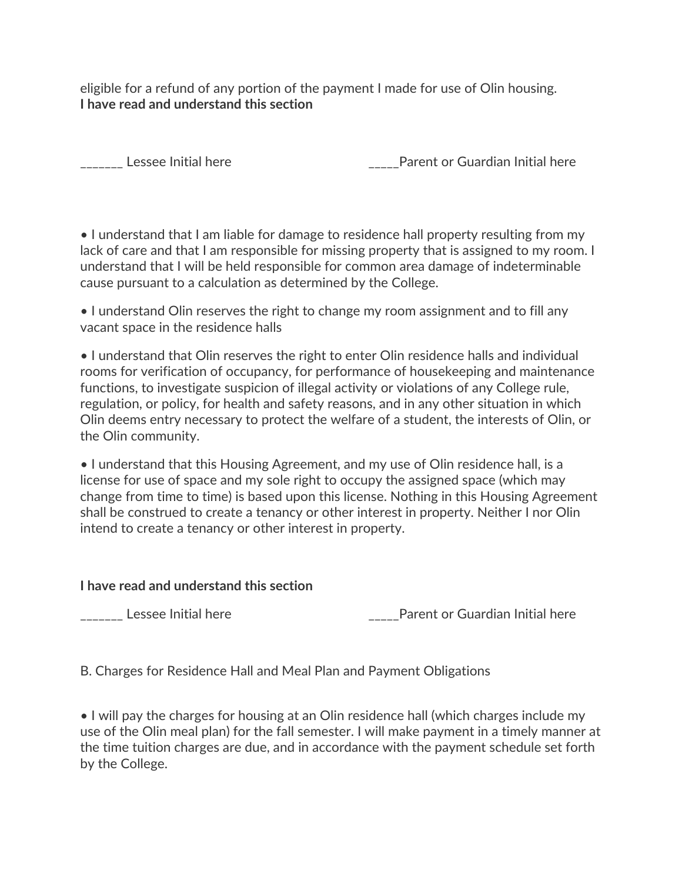eligible for a refund of any portion of the payment I made for use of Olin housing. **I have read and understand this section**

Lessee Initial here **Exercise 20** Parent or Guardian Initial here

• I understand that I am liable for damage to residence hall property resulting from my lack of care and that I am responsible for missing property that is assigned to my room. I understand that I will be held responsible for common area damage of indeterminable cause pursuant to a calculation as determined by the College.

• I understand Olin reserves the right to change my room assignment and to fill any vacant space in the residence halls

• I understand that Olin reserves the right to enter Olin residence halls and individual rooms for verification of occupancy, for performance of housekeeping and maintenance functions, to investigate suspicion of illegal activity or violations of any College rule, regulation, or policy, for health and safety reasons, and in any other situation in which Olin deems entry necessary to protect the welfare of a student, the interests of Olin, or the Olin community.

• I understand that this Housing Agreement, and my use of Olin residence hall, is a license for use of space and my sole right to occupy the assigned space (which may change from time to time) is based upon this license. Nothing in this Housing Agreement shall be construed to create a tenancy or other interest in property. Neither I nor Olin intend to create a tenancy or other interest in property.

#### **I have read and understand this section**

\_\_\_\_\_\_\_ Lessee Initial here the state of the contraction of Guardian Initial here

B. Charges for Residence Hall and Meal Plan and Payment Obligations

• I will pay the charges for housing at an Olin residence hall (which charges include my use of the Olin meal plan) for the fall semester. I will make payment in a timely manner at the time tuition charges are due, and in accordance with the payment schedule set forth by the College.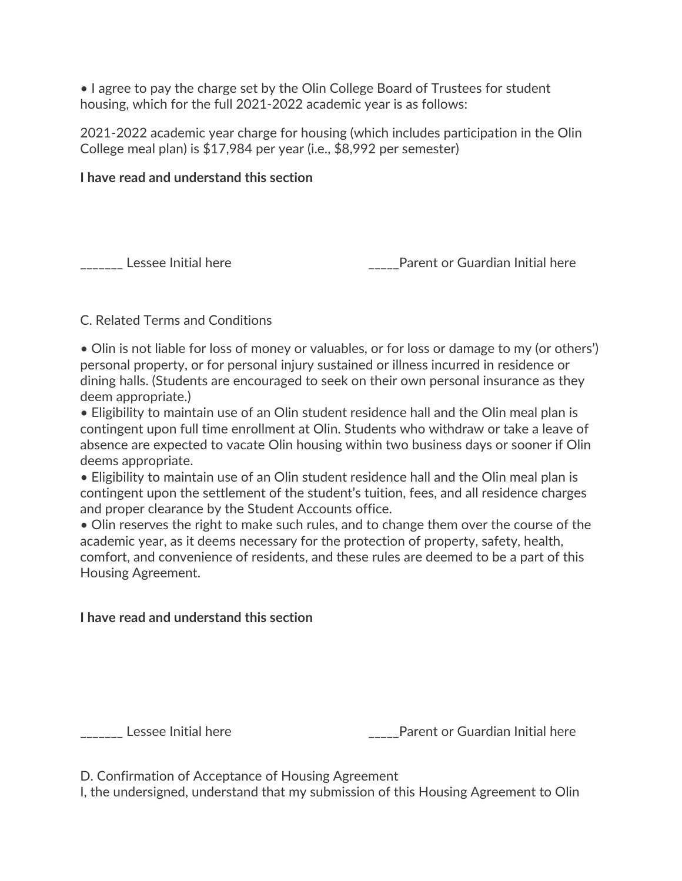• I agree to pay the charge set by the Olin College Board of Trustees for student housing, which for the full 2021-2022 academic year is as follows:

2021-2022 academic year charge for housing (which includes participation in the Olin College meal plan) is \$17,984 per year (i.e., \$8,992 per semester)

#### **I have read and understand this section**

\_\_\_\_\_\_\_ Lessee Initial here the state of the contraction of Guardian Initial here

## C. Related Terms and Conditions

• Olin is not liable for loss of money or valuables, or for loss or damage to my (or others') personal property, or for personal injury sustained or illness incurred in residence or dining halls. (Students are encouraged to seek on their own personal insurance as they deem appropriate.)

• Eligibility to maintain use of an Olin student residence hall and the Olin meal plan is contingent upon full time enrollment at Olin. Students who withdraw or take a leave of absence are expected to vacate Olin housing within two business days or sooner if Olin deems appropriate.

• Eligibility to maintain use of an Olin student residence hall and the Olin meal plan is contingent upon the settlement of the student's tuition, fees, and all residence charges and proper clearance by the Student Accounts office.

• Olin reserves the right to make such rules, and to change them over the course of the academic year, as it deems necessary for the protection of property, safety, health, comfort, and convenience of residents, and these rules are deemed to be a part of this Housing Agreement.

## **I have read and understand this section**

\_\_\_\_\_\_\_ Lessee Initial here \_\_\_\_\_Parent or Guardian Initial here

D. Confirmation of Acceptance of Housing Agreement

I, the undersigned, understand that my submission of this Housing Agreement to Olin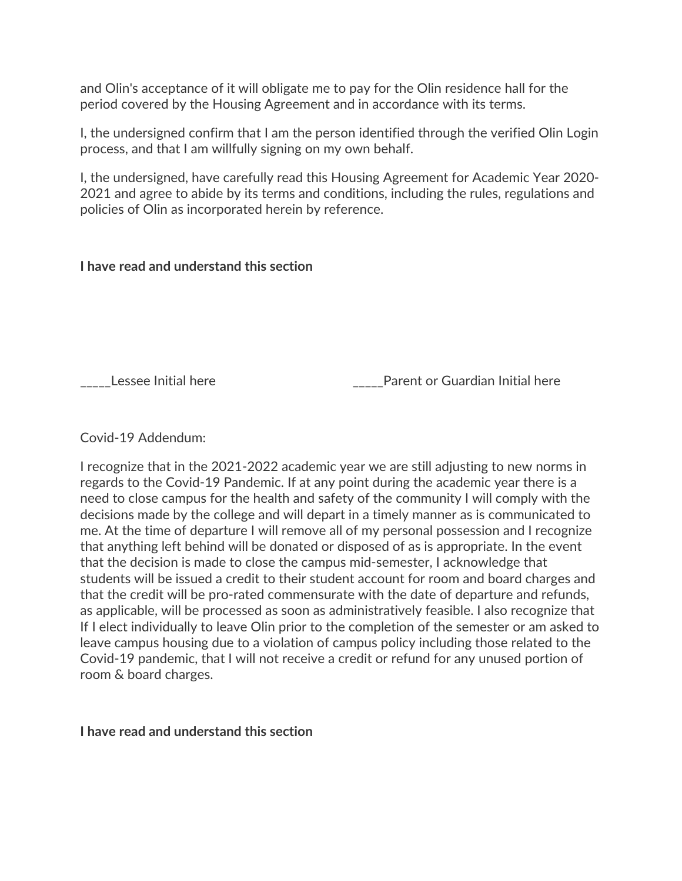and Olin's acceptance of it will obligate me to pay for the Olin residence hall for the period covered by the Housing Agreement and in accordance with its terms.

I, the undersigned confirm that I am the person identified through the verified Olin Login process, and that I am willfully signing on my own behalf.

I, the undersigned, have carefully read this Housing Agreement for Academic Year 2020- 2021 and agree to abide by its terms and conditions, including the rules, regulations and policies of Olin as incorporated herein by reference.

### **I have read and understand this section**

\_\_\_\_\_Lessee Initial here \_\_\_\_\_Parent or Guardian Initial here

Covid-19 Addendum:

I recognize that in the 2021-2022 academic year we are still adjusting to new norms in regards to the Covid-19 Pandemic. If at any point during the academic year there is a need to close campus for the health and safety of the community I will comply with the decisions made by the college and will depart in a timely manner as is communicated to me. At the time of departure I will remove all of my personal possession and I recognize that anything left behind will be donated or disposed of as is appropriate. In the event that the decision is made to close the campus mid-semester, I acknowledge that students will be issued a credit to their student account for room and board charges and that the credit will be pro-rated commensurate with the date of departure and refunds, as applicable, will be processed as soon as administratively feasible. I also recognize that If I elect individually to leave Olin prior to the completion of the semester or am asked to leave campus housing due to a violation of campus policy including those related to the Covid-19 pandemic, that I will not receive a credit or refund for any unused portion of room & board charges.

**I have read and understand this section**